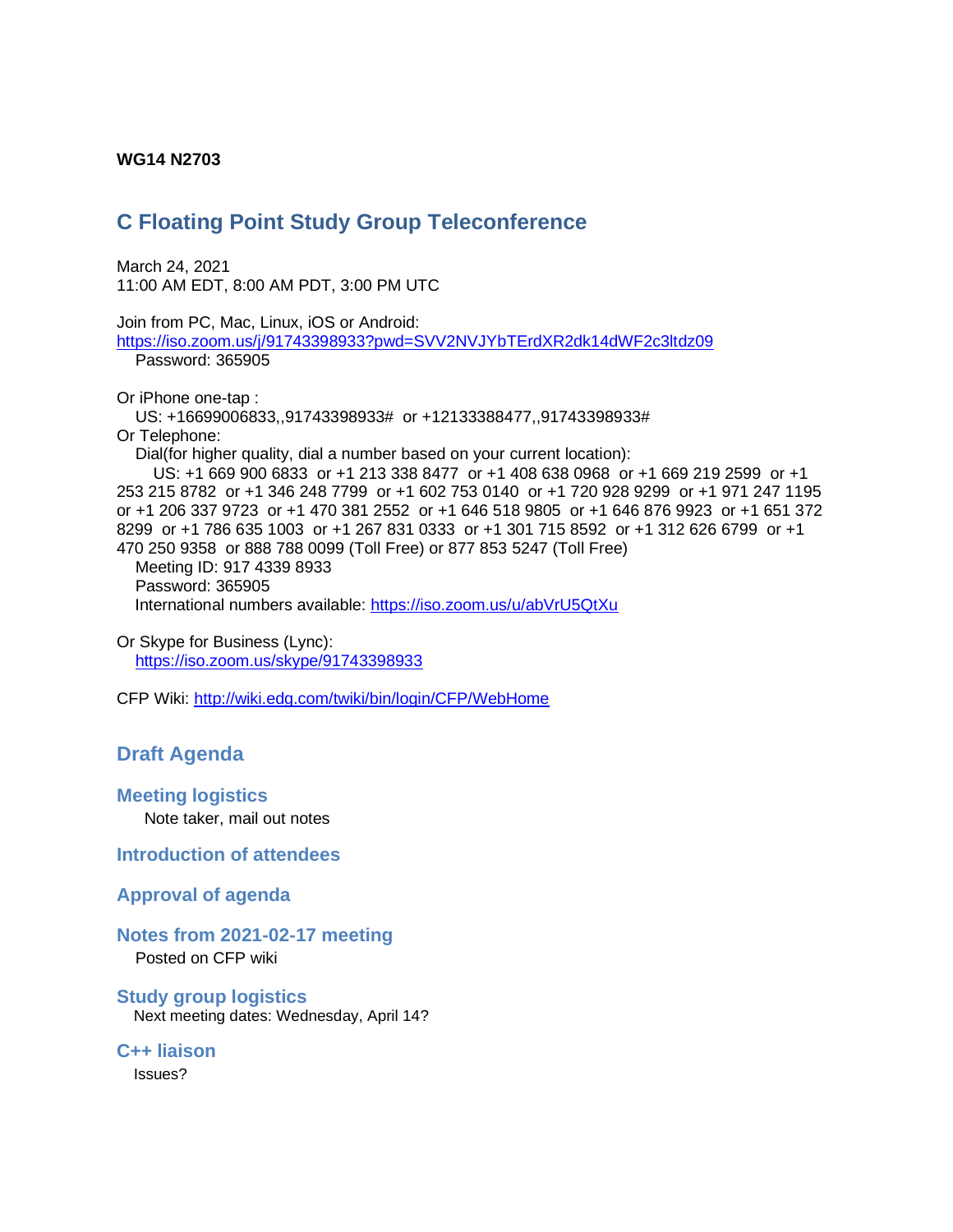#### **WG14 N2703**

# **C Floating Point Study Group Teleconference**

March 24, 2021 11:00 AM EDT, 8:00 AM PDT, 3:00 PM UTC

Join from PC, Mac, Linux, iOS or Android: <https://iso.zoom.us/j/91743398933?pwd=SVV2NVJYbTErdXR2dk14dWF2c3ltdz09> Password: 365905

Or iPhone one-tap : US: +16699006833,,91743398933# or +12133388477,,91743398933# Or Telephone: Dial(for higher quality, dial a number based on your current location): US: +1 669 900 6833 or +1 213 338 8477 or +1 408 638 0968 or +1 669 219 2599 or +1 253 215 8782 or +1 346 248 7799 or +1 602 753 0140 or +1 720 928 9299 or +1 971 247 1195 or +1 206 337 9723 or +1 470 381 2552 or +1 646 518 9805 or +1 646 876 9923 or +1 651 372

8299 or +1 786 635 1003 or +1 267 831 0333 or +1 301 715 8592 or +1 312 626 6799 or +1 470 250 9358 or 888 788 0099 (Toll Free) or 877 853 5247 (Toll Free) Meeting ID: 917 4339 8933

 Password: 365905 International numbers available:<https://iso.zoom.us/u/abVrU5QtXu>

Or Skype for Business (Lync): <https://iso.zoom.us/skype/91743398933>

CFP Wiki:<http://wiki.edg.com/twiki/bin/login/CFP/WebHome>

# **Draft Agenda**

### **Meeting logistics**

Note taker, mail out notes

**Introduction of attendees**

### **Approval of agenda**

### **Notes from 2021-02-17 meeting**

Posted on CFP wiki

# **Study group logistics**

Next meeting dates: Wednesday, April 14?

**C++ liaison** Issues?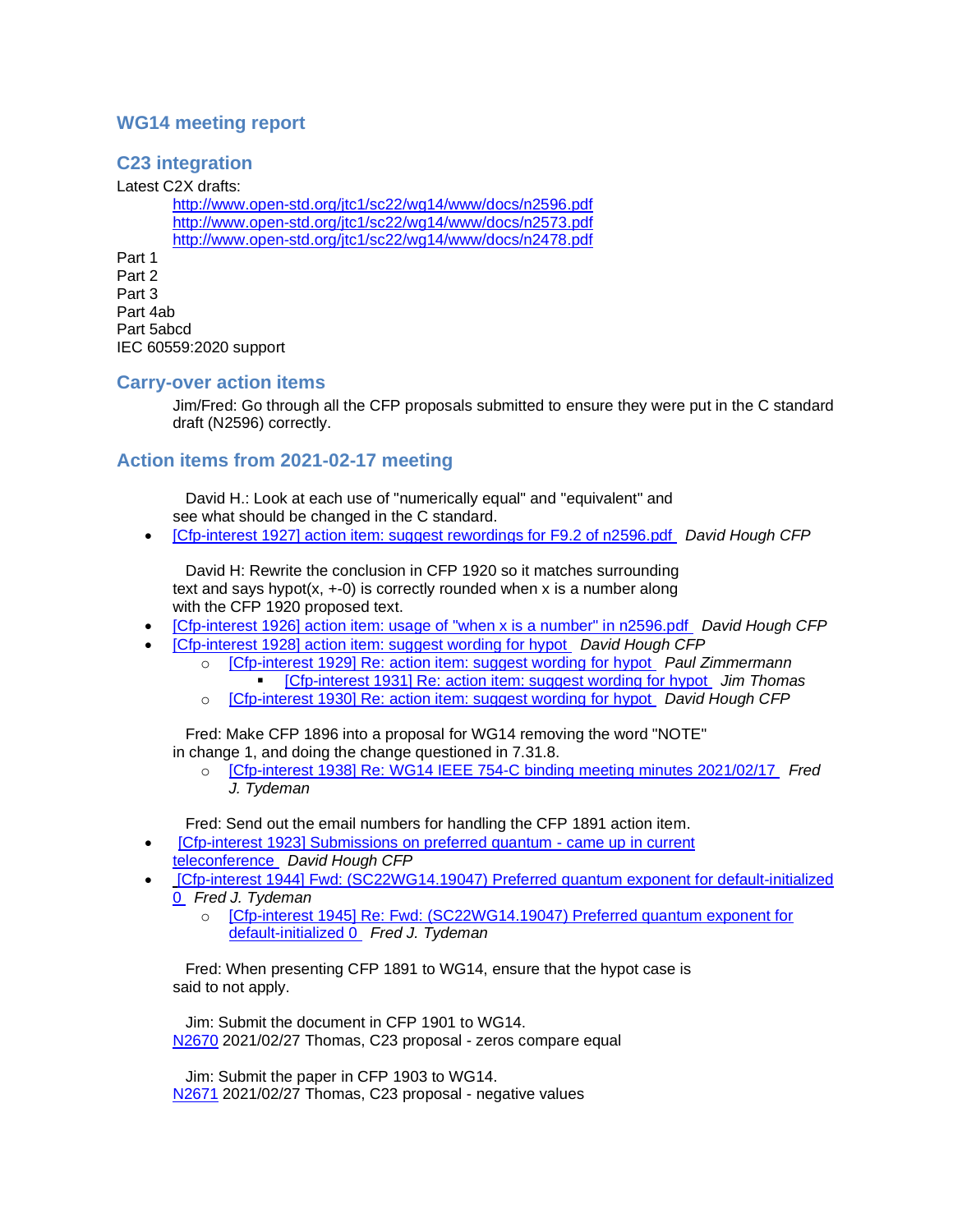## **WG14 meeting report**

# **C23 integration**

Latest C2X drafts:

<http://www.open-std.org/jtc1/sc22/wg14/www/docs/n2596.pdf> <http://www.open-std.org/jtc1/sc22/wg14/www/docs/n2573.pdf> <http://www.open-std.org/jtc1/sc22/wg14/www/docs/n2478.pdf>

Part 1 Part 2 Part 3 Part 4ab Part 5abcd IEC 60559:2020 support

#### **Carry-over action items**

Jim/Fred: Go through all the CFP proposals submitted to ensure they were put in the C standard draft (N2596) correctly.

## **Action items from 2021-02-17 meeting**

 David H.: Look at each use of "numerically equal" and "equivalent" and see what should be changed in the C standard.

• [\[Cfp-interest 1927\] action item: suggest rewordings for F9.2 of n2596.pdf](https://mailman.oakapple.net/pipermail/cfp-interest/2021-February/001941.html) *David Hough CFP*

 David H: Rewrite the conclusion in CFP 1920 so it matches surrounding text and says hypot( $x$ ,  $+-0$ ) is correctly rounded when x is a number along with the CFP 1920 proposed text.

- [\[Cfp-interest 1926\] action item: usage of "when x is a number" in n2596.pdf](https://mailman.oakapple.net/pipermail/cfp-interest/2021-February/001940.html) *David Hough CFP*
- [\[Cfp-interest 1928\] action item: suggest wording for hypot](https://mailman.oakapple.net/pipermail/cfp-interest/2021-February/001942.html) *David Hough CFP*
	- o [\[Cfp-interest 1929\] Re: action item: suggest wording for hypot](https://mailman.oakapple.net/pipermail/cfp-interest/2021-February/001943.html) *Paul Zimmermann* ▪ [\[Cfp-interest 1931\] Re: action item: suggest wording for hypot](https://mailman.oakapple.net/pipermail/cfp-interest/2021-February/001945.html) *Jim Thomas*
	- o [\[Cfp-interest 1930\] Re: action item: suggest wording for hypot](https://mailman.oakapple.net/pipermail/cfp-interest/2021-February/001944.html) *David Hough CFP*

 Fred: Make CFP 1896 into a proposal for WG14 removing the word "NOTE" in change 1, and doing the change questioned in 7.31.8.

o [\[Cfp-interest 1938\] Re: WG14 IEEE 754-C binding meeting minutes 2021/02/17](https://mailman.oakapple.net/pipermail/cfp-interest/2021-February/001952.html) *Fred J. Tydeman*

Fred: Send out the email numbers for handling the CFP 1891 action item.

- **ICfp-interest 1923] Submissions on preferred quantum came up in current** [teleconference](https://mailman.oakapple.net/pipermail/cfp-interest/2021-March/001958.html) *David Hough CFP*
- [\[Cfp-interest 1944\] Fwd: \(SC22WG14.19047\) Preferred quantum exponent for default-initialized](https://mailman.oakapple.net/pipermail/cfp-interest/2021-March/001958.html)  [0](https://mailman.oakapple.net/pipermail/cfp-interest/2021-March/001958.html) *Fred J. Tydeman*
	- o [\[Cfp-interest 1945\] Re: Fwd: \(SC22WG14.19047\) Preferred quantum exponent for](https://mailman.oakapple.net/pipermail/cfp-interest/2021-March/001959.html)  [default-initialized 0](https://mailman.oakapple.net/pipermail/cfp-interest/2021-March/001959.html) *Fred J. Tydeman*

 Fred: When presenting CFP 1891 to WG14, ensure that the hypot case is said to not apply.

 Jim: Submit the document in CFP 1901 to WG14. [N2670](http://www.open-std.org/jtc1/sc22/wg14/www/docs/n2670.pdf) 2021/02/27 Thomas, C23 proposal - zeros compare equal

 Jim: Submit the paper in CFP 1903 to WG14. [N2671](http://www.open-std.org/jtc1/sc22/wg14/www/docs/n2671.pdf) 2021/02/27 Thomas, C23 proposal - negative values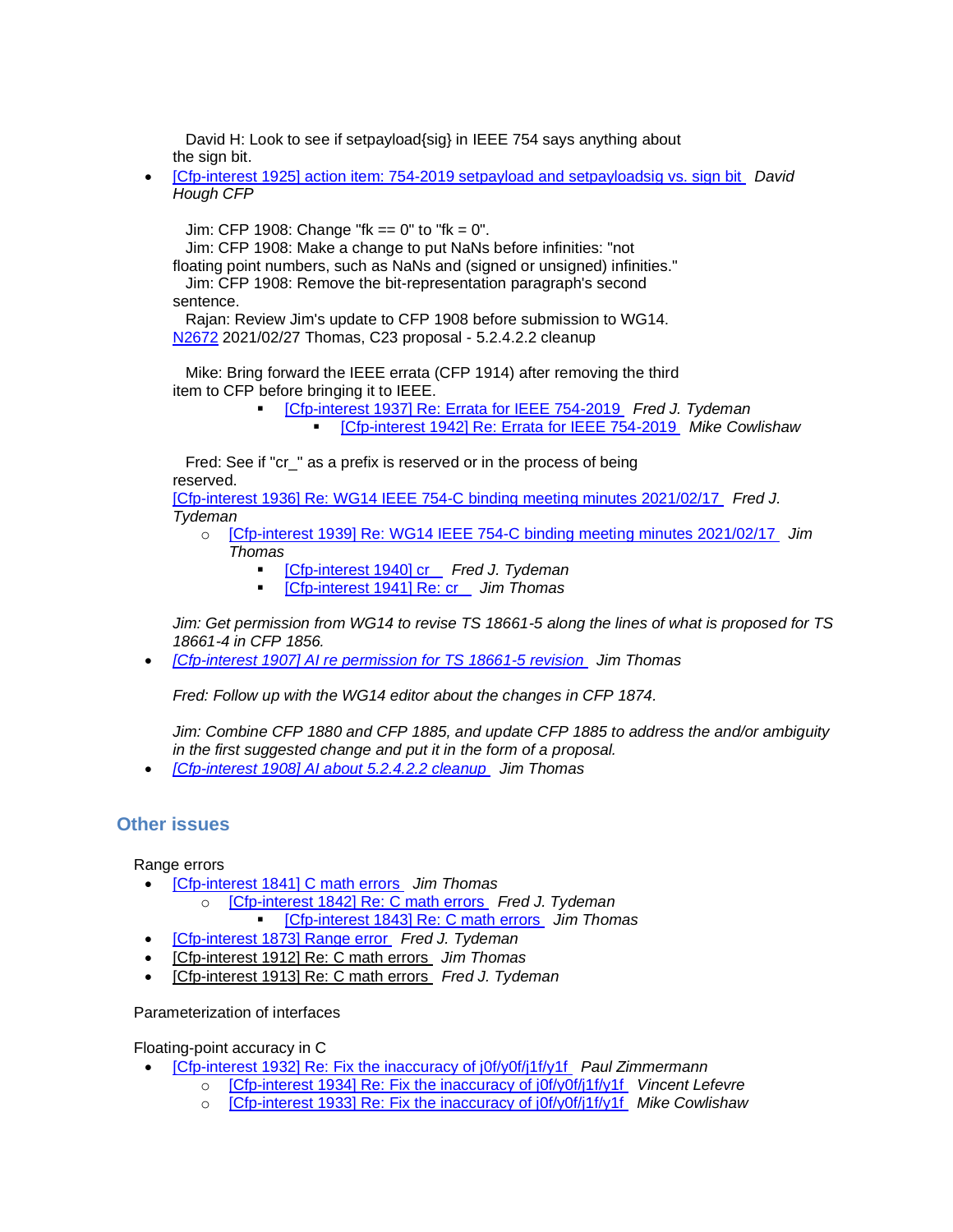David H: Look to see if setpayload{sig} in IEEE 754 says anything about the sign bit.

• [Cfp-interest 1925] [action item: 754-2019 setpayload and setpayloadsig vs. sign bit](https://mailman.oakapple.net/pipermail/cfp-interest/2021-February/001939.html) *David Hough CFP*

Jim: CFP 1908: Change "fk == 0" to "fk = 0".

Jim: CFP 1908: Make a change to put NaNs before infinities: "not

floating point numbers, such as NaNs and (signed or unsigned) infinities." Jim: CFP 1908: Remove the bit-representation paragraph's second

sentence.

 Rajan: Review Jim's update to CFP 1908 before submission to WG14. [N2672](http://www.open-std.org/jtc1/sc22/wg14/www/docs/n2672.pdf) 2021/02/27 Thomas, C23 proposal - 5.2.4.2.2 cleanup

 Mike: Bring forward the IEEE errata (CFP 1914) after removing the third item to CFP before bringing it to IEEE.

> ▪ [\[Cfp-interest 1937\] Re: Errata for IEEE 754-2019](https://mailman.oakapple.net/pipermail/cfp-interest/2021-February/001951.html) *Fred J. Tydeman* ▪ [\[Cfp-interest 1942\] Re: Errata for IEEE 754-2019](https://mailman.oakapple.net/pipermail/cfp-interest/2021-February/001956.html) *Mike Cowlishaw*

 Fred: See if "cr\_" as a prefix is reserved or in the process of being reserved.

[\[Cfp-interest 1936\] Re: WG14 IEEE 754-C binding meeting minutes 2021/02/17](https://mailman.oakapple.net/pipermail/cfp-interest/2021-February/001950.html) *Fred J. Tydeman*

- o [\[Cfp-interest 1939\] Re: WG14 IEEE 754-C binding meeting minutes 2021/02/17](https://mailman.oakapple.net/pipermail/cfp-interest/2021-February/001953.html) *Jim Thomas*
	- [\[Cfp-interest 1940\] cr\\_](https://mailman.oakapple.net/pipermail/cfp-interest/2021-February/001954.html) *Fred J. Tydeman*
	- [\[Cfp-interest 1941\] Re: cr\\_](https://mailman.oakapple.net/pipermail/cfp-interest/2021-February/001955.html) *Jim Thomas*

*Jim: Get permission from WG14 to revise TS 18661-5 along the lines of what is proposed for TS 18661-4 in CFP 1856.*

• *[\[Cfp-interest 1907\] AI re permission for TS 18661-5 revision](https://mailman.oakapple.net/pipermail/cfp-interest/2021-January/001921.html) Jim Thomas*

*Fred: Follow up with the WG14 editor about the changes in CFP 1874.*

*Jim: Combine CFP 1880 and CFP 1885, and update CFP 1885 to address the and/or ambiguity in the first suggested change and put it in the form of a proposal.*

• *[\[Cfp-interest 1908\] AI about 5.2.4.2.2 cleanup](https://mailman.oakapple.net/pipermail/cfp-interest/2021-January/001922.html) Jim Thomas*

## **Other issues**

Range errors

- [\[Cfp-interest 1841\] C math errors](https://mailman.oakapple.net/pipermail/cfp-interest/2020-November/001855.html) *Jim Thomas*
	- o [\[Cfp-interest 1842\] Re:](https://mailman.oakapple.net/pipermail/cfp-interest/2020-November/001856.html) C math errors *Fred J. Tydeman* ▪ [\[Cfp-interest 1843\] Re: C math errors](https://mailman.oakapple.net/pipermail/cfp-interest/2020-November/001857.html) *Jim Thomas*
- [\[Cfp-interest 1873\] Range error](https://mailman.oakapple.net/pipermail/cfp-interest/2020-December/001887.html) *Fred J. Tydeman*
- [\[Cfp-interest 1912\] Re: C math errors](https://mailman.oakapple.net/pipermail/cfp-interest/2021-February/001926.html) *Jim Thomas*
- [\[Cfp-interest 1913\] Re: C math errors](https://mailman.oakapple.net/pipermail/cfp-interest/2021-February/001927.html) *Fred J. Tydeman*

#### Parameterization of interfaces

Floating-point accuracy in C

- [\[Cfp-interest 1932\] Re: Fix the inaccuracy of j0f/y0f/j1f/y1f](https://mailman.oakapple.net/pipermail/cfp-interest/2021-February/001946.html) *Paul Zimmermann*
	- o [\[Cfp-interest 1934\] Re: Fix the inaccuracy of j0f/y0f/j1f/y1f](https://mailman.oakapple.net/pipermail/cfp-interest/2021-February/001948.html) *Vincent Lefevre*
	- o [\[Cfp-interest 1933\] Re: Fix the inaccuracy of j0f/y0f/j1f/y1f](https://mailman.oakapple.net/pipermail/cfp-interest/2021-February/001947.html) *Mike Cowlishaw*